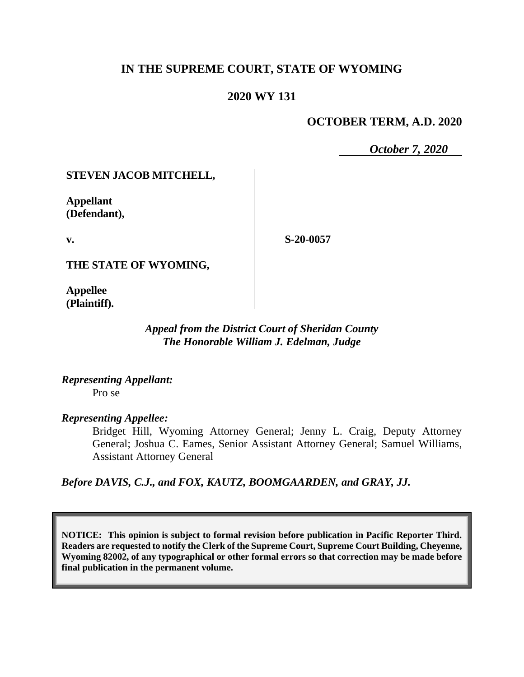# **IN THE SUPREME COURT, STATE OF WYOMING**

#### **2020 WY 131**

#### **OCTOBER TERM, A.D. 2020**

*October 7, 2020*

#### **STEVEN JACOB MITCHELL,**

**Appellant (Defendant),**

**v.**

**S-20-0057**

**THE STATE OF WYOMING,**

**Appellee (Plaintiff).**

#### *Appeal from the District Court of Sheridan County The Honorable William J. Edelman, Judge*

*Representing Appellant:* Pro se

## *Representing Appellee:*

Bridget Hill, Wyoming Attorney General; Jenny L. Craig, Deputy Attorney General; Joshua C. Eames, Senior Assistant Attorney General; Samuel Williams, Assistant Attorney General

*Before DAVIS, C.J., and FOX, KAUTZ, BOOMGAARDEN, and GRAY, JJ.*

**NOTICE: This opinion is subject to formal revision before publication in Pacific Reporter Third. Readers are requested to notify the Clerk of the Supreme Court, Supreme Court Building, Cheyenne, Wyoming 82002, of any typographical or other formal errors so that correction may be made before final publication in the permanent volume.**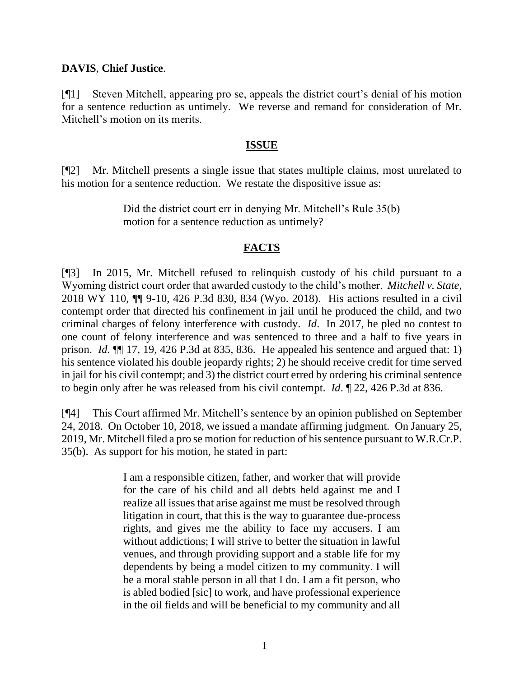## **DAVIS**, **Chief Justice**.

[¶1] Steven Mitchell, appearing pro se, appeals the district court's denial of his motion for a sentence reduction as untimely. We reverse and remand for consideration of Mr. Mitchell's motion on its merits.

## **ISSUE**

[¶2] Mr. Mitchell presents a single issue that states multiple claims, most unrelated to his motion for a sentence reduction. We restate the dispositive issue as:

> Did the district court err in denying Mr. Mitchell's Rule 35(b) motion for a sentence reduction as untimely?

# **FACTS**

[¶3] In 2015, Mr. Mitchell refused to relinquish custody of his child pursuant to a Wyoming district court order that awarded custody to the child's mother. *Mitchell v. State*, 2018 WY 110, ¶¶ 9-10, 426 P.3d 830, 834 (Wyo. 2018). His actions resulted in a civil contempt order that directed his confinement in jail until he produced the child, and two criminal charges of felony interference with custody. *Id*. In 2017, he pled no contest to one count of felony interference and was sentenced to three and a half to five years in prison. *Id.* ¶¶ 17, 19, 426 P.3d at 835, 836. He appealed his sentence and argued that: 1) his sentence violated his double jeopardy rights; 2) he should receive credit for time served in jail for his civil contempt; and 3) the district court erred by ordering his criminal sentence to begin only after he was released from his civil contempt. *Id*. ¶ 22, 426 P.3d at 836.

[¶4] This Court affirmed Mr. Mitchell's sentence by an opinion published on September 24, 2018. On October 10, 2018, we issued a mandate affirming judgment. On January 25, 2019, Mr. Mitchell filed a pro se motion for reduction of his sentence pursuant to W.R.Cr.P. 35(b). As support for his motion, he stated in part:

> I am a responsible citizen, father, and worker that will provide for the care of his child and all debts held against me and I realize all issues that arise against me must be resolved through litigation in court, that this is the way to guarantee due-process rights, and gives me the ability to face my accusers. I am without addictions; I will strive to better the situation in lawful venues, and through providing support and a stable life for my dependents by being a model citizen to my community. I will be a moral stable person in all that I do. I am a fit person, who is abled bodied [sic] to work, and have professional experience in the oil fields and will be beneficial to my community and all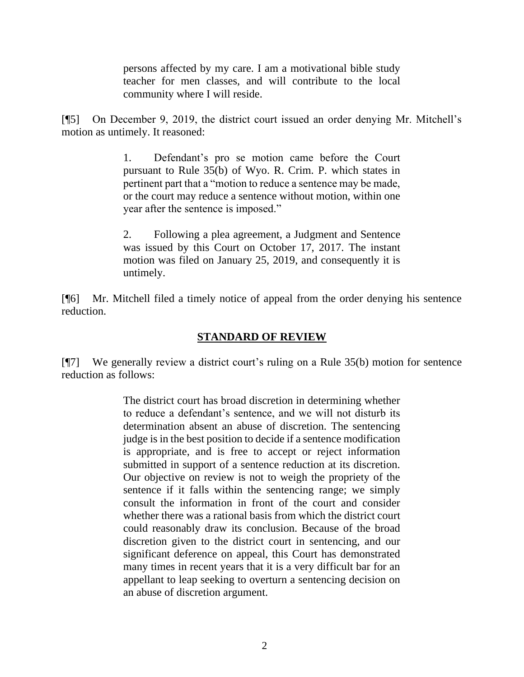persons affected by my care. I am a motivational bible study teacher for men classes, and will contribute to the local community where I will reside.

[¶5] On December 9, 2019, the district court issued an order denying Mr. Mitchell's motion as untimely. It reasoned:

> 1. Defendant's pro se motion came before the Court pursuant to Rule 35(b) of Wyo. R. Crim. P. which states in pertinent part that a "motion to reduce a sentence may be made, or the court may reduce a sentence without motion, within one year after the sentence is imposed."

> 2. Following a plea agreement, a Judgment and Sentence was issued by this Court on October 17, 2017. The instant motion was filed on January 25, 2019, and consequently it is untimely.

[¶6] Mr. Mitchell filed a timely notice of appeal from the order denying his sentence reduction.

# **STANDARD OF REVIEW**

[¶7] We generally review a district court's ruling on a [Rule 35\(](http://www.westlaw.com/Link/Document/FullText?findType=L&pubNum=1008764&cite=WYRRCRPR35&originatingDoc=Ib7efd8e01b7a11e9a573b12ad1dad226&refType=LQ&originationContext=document&vr=3.0&rs=cblt1.0&transitionType=DocumentItem&contextData=(sc.Search))b) motion for sentence reduction as follows:

> The district court has broad discretion in determining whether to reduce a defendant's sentence, and we will not disturb its determination absent an abuse of discretion. The sentencing judge is in the best position to decide if a sentence modification is appropriate, and is free to accept or reject information submitted in support of a sentence reduction at its discretion. Our objective on review is not to weigh the propriety of the sentence if it falls within the sentencing range; we simply consult the information in front of the court and consider whether there was a rational basis from which the district court could reasonably draw its conclusion. Because of the broad discretion given to the district court in sentencing, and our significant deference on appeal, this Court has demonstrated many times in recent years that it is a very difficult bar for an appellant to leap seeking to overturn a sentencing decision on an abuse of discretion argument.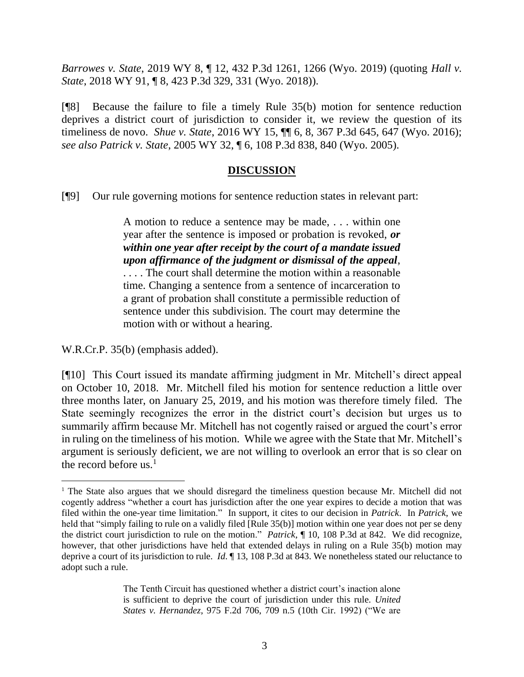*Barrowes v. State*, 2019 WY 8, ¶ 12, 432 P.3d 1261, 1266 (Wyo. 2019) (quoting *[Hall v.](http://www.westlaw.com/Link/Document/FullText?findType=Y&serNum=2045226768&pubNum=0004645&originatingDoc=Ib7efd8e01b7a11e9a573b12ad1dad226&refType=RP&fi=co_pp_sp_4645_331&originationContext=document&vr=3.0&rs=cblt1.0&transitionType=DocumentItem&contextData=(sc.Search)#co_pp_sp_4645_331)  State*[, 2018 WY 91, ¶ 8, 423 P.3d 329, 331 \(Wyo. 2018\)\)](http://www.westlaw.com/Link/Document/FullText?findType=Y&serNum=2045226768&pubNum=0004645&originatingDoc=Ib7efd8e01b7a11e9a573b12ad1dad226&refType=RP&fi=co_pp_sp_4645_331&originationContext=document&vr=3.0&rs=cblt1.0&transitionType=DocumentItem&contextData=(sc.Search)#co_pp_sp_4645_331).

[¶8] Because the failure to file a timely Rule 35(b) motion for sentence reduction deprives a district court of jurisdiction to consider it, we review the question of its timeliness de novo. *Shue v. State*, 2016 WY 15, ¶¶ 6, 8, 367 P.3d 645, 647 (Wyo. 2016); *see also Patrick v. State*, 2005 WY 32, ¶ 6, 108 P.3d 838, 840 (Wyo. 2005).

## **DISCUSSION**

[¶9] Our rule governing motions for sentence reduction states in relevant part:

A motion to reduce a sentence may be made, . . . within one year after the sentence is imposed or probation is revoked, *or within one year after receipt by the court of a mandate issued upon affirmance of the judgment or dismissal of the appeal*, . . . . The court shall determine the motion within a reasonable

time. Changing a sentence from a sentence of incarceration to a grant of probation shall constitute a permissible reduction of sentence under this subdivision. The court may determine the motion with or without a hearing.

W.R.Cr.P. 35(b) (emphasis added).

[¶10] This Court issued its mandate affirming judgment in Mr. Mitchell's direct appeal on October 10, 2018. Mr. Mitchell filed his motion for sentence reduction a little over three months later, on January 25, 2019, and his motion was therefore timely filed. The State seemingly recognizes the error in the district court's decision but urges us to summarily affirm because Mr. Mitchell has not cogently raised or argued the court's error in ruling on the timeliness of his motion. While we agree with the State that Mr. Mitchell's argument is seriously deficient, we are not willing to overlook an error that is so clear on the record before us.<sup>1</sup>

The Tenth Circuit has questioned whether a district court's inaction alone is sufficient to deprive the court of jurisdiction under this rule. *United States v. Hernandez*, 975 F.2d 706, 709 n.5 (10th Cir. 1992) ("We are

<sup>&</sup>lt;sup>1</sup> The State also argues that we should disregard the timeliness question because Mr. Mitchell did not cogently address "whether a court has jurisdiction after the one year expires to decide a motion that was filed within the one-year time limitation." In support, it cites to our decision in *Patrick*. In *Patrick*, we held that "simply failing to rule on a validly filed [Rule 35(b)] motion within one year does not per se deny the district court jurisdiction to rule on the motion." *Patrick*, ¶ 10, 108 P.3d at 842. We did recognize, however, that other jurisdictions have held that extended delays in ruling on a Rule 35(b) motion may deprive a court of its jurisdiction to rule. *Id*. ¶ 13, 108 P.3d at 843. We nonetheless stated our reluctance to adopt such a rule.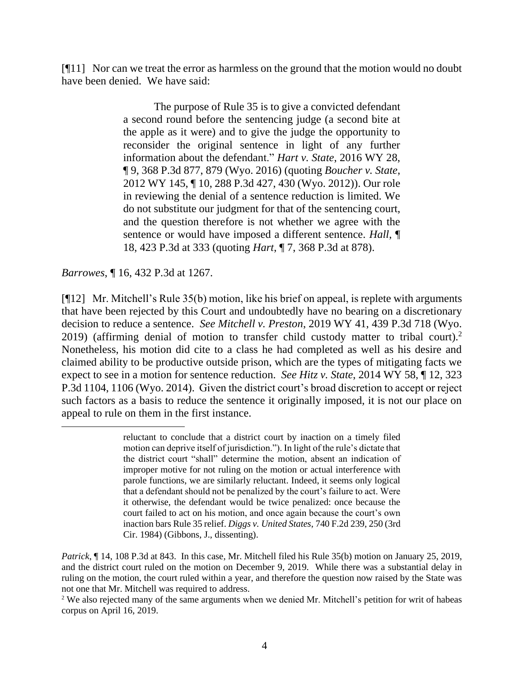[¶11] Nor can we treat the error as harmless on the ground that the motion would no doubt have been denied. We have said:

> The purpose of [Rule 35](http://www.westlaw.com/Link/Document/FullText?findType=L&pubNum=1008764&cite=WYRRCRPR35&originatingDoc=Ib7efd8e01b7a11e9a573b12ad1dad226&refType=LQ&originationContext=document&vr=3.0&rs=cblt1.0&transitionType=DocumentItem&contextData=(sc.Search)) is to give a convicted defendant a second round before the sentencing judge (a second bite at the apple as it were) and to give the judge the opportunity to reconsider the original sentence in light of any further information about the defendant." *Hart v. State*[, 2016 WY 28,](http://www.westlaw.com/Link/Document/FullText?findType=Y&serNum=2038395050&pubNum=0004645&originatingDoc=Ib7efd8e01b7a11e9a573b12ad1dad226&refType=RP&fi=co_pp_sp_4645_879&originationContext=document&vr=3.0&rs=cblt1.0&transitionType=DocumentItem&contextData=(sc.Search)#co_pp_sp_4645_879)  [¶ 9, 368 P.3d 877, 879 \(Wyo. 2016\)](http://www.westlaw.com/Link/Document/FullText?findType=Y&serNum=2038395050&pubNum=0004645&originatingDoc=Ib7efd8e01b7a11e9a573b12ad1dad226&refType=RP&fi=co_pp_sp_4645_879&originationContext=document&vr=3.0&rs=cblt1.0&transitionType=DocumentItem&contextData=(sc.Search)#co_pp_sp_4645_879) (quoting *[Boucher v. State](http://www.westlaw.com/Link/Document/FullText?findType=Y&serNum=2029240096&pubNum=0004645&originatingDoc=Ib7efd8e01b7a11e9a573b12ad1dad226&refType=RP&fi=co_pp_sp_4645_430&originationContext=document&vr=3.0&rs=cblt1.0&transitionType=DocumentItem&contextData=(sc.Search)#co_pp_sp_4645_430)*, [2012 WY 145, ¶ 10, 288 P.3d 427, 430 \(Wyo. 2012\)\)](http://www.westlaw.com/Link/Document/FullText?findType=Y&serNum=2029240096&pubNum=0004645&originatingDoc=Ib7efd8e01b7a11e9a573b12ad1dad226&refType=RP&fi=co_pp_sp_4645_430&originationContext=document&vr=3.0&rs=cblt1.0&transitionType=DocumentItem&contextData=(sc.Search)#co_pp_sp_4645_430). Our role in reviewing the denial of a sentence reduction is limited. We do not substitute our judgment for that of the sentencing court, and the question therefore is not whether we agree with the sentence or would have imposed a different sentence. *[Hall](http://www.westlaw.com/Link/Document/FullText?findType=Y&serNum=2045226768&pubNum=0004645&originatingDoc=Ib7efd8e01b7a11e9a573b12ad1dad226&refType=RP&fi=co_pp_sp_4645_333&originationContext=document&vr=3.0&rs=cblt1.0&transitionType=DocumentItem&contextData=(sc.Search)#co_pp_sp_4645_333)*, ¶ [18, 423 P.3d at 333](http://www.westlaw.com/Link/Document/FullText?findType=Y&serNum=2045226768&pubNum=0004645&originatingDoc=Ib7efd8e01b7a11e9a573b12ad1dad226&refType=RP&fi=co_pp_sp_4645_333&originationContext=document&vr=3.0&rs=cblt1.0&transitionType=DocumentItem&contextData=(sc.Search)#co_pp_sp_4645_333) (quoting *Hart*[, ¶ 7, 368 P.3d at 878\)](http://www.westlaw.com/Link/Document/FullText?findType=Y&serNum=2038395050&pubNum=0004645&originatingDoc=Ib7efd8e01b7a11e9a573b12ad1dad226&refType=RP&fi=co_pp_sp_4645_878&originationContext=document&vr=3.0&rs=cblt1.0&transitionType=DocumentItem&contextData=(sc.Search)#co_pp_sp_4645_878).

*Barrowes*, ¶ 16, 432 P.3d at 1267.

[¶12] Mr. Mitchell's Rule 35(b) motion, like his brief on appeal, is replete with arguments that have been rejected by this Court and undoubtedly have no bearing on a discretionary decision to reduce a sentence. *See Mitchell v. Preston*, 2019 WY 41, 439 P.3d 718 (Wyo. 2019) (affirming denial of motion to transfer child custody matter to tribal court).<sup>2</sup> Nonetheless, his motion did cite to a class he had completed as well as his desire and claimed ability to be productive outside prison, which are the types of mitigating facts we expect to see in a motion for sentence reduction. *See Hitz v. State*, 2014 WY 58, ¶ 12, 323 P.3d 1104, 1106 (Wyo. 2014). Given the district court's broad discretion to accept or reject such factors as a basis to reduce the sentence it originally imposed, it is not our place on appeal to rule on them in the first instance.

reluctant to conclude that a district court by inaction on a timely filed motion can deprive itself of jurisdiction."). In light of the rule's dictate that the district court "shall" determine the motion, absent an indication of improper motive for not ruling on the motion or actual interference with parole functions, we are similarly reluctant. Indeed, it seems only logical that a defendant should not be penalized by the court's failure to act. Were it otherwise, the defendant would be twice penalized: once because the court failed to act on his motion, and once again because the court's own inaction bar[s Rule 35](http://www.westlaw.com/Link/Document/FullText?findType=L&pubNum=1004365&cite=USFRCRPR35&originatingDoc=I588accb3f78611d9bf60c1d57ebc853e&refType=LQ&originationContext=document&vr=3.0&rs=cblt1.0&transitionType=DocumentItem&contextData=(sc.UserEnteredCitation)) relief. *Diggs v. United States*[, 740 F.2d 239, 250 \(3rd](http://www.westlaw.com/Link/Document/FullText?findType=Y&serNum=1984136407&pubNum=350&originatingDoc=I588accb3f78611d9bf60c1d57ebc853e&refType=RP&fi=co_pp_sp_350_250&originationContext=document&vr=3.0&rs=cblt1.0&transitionType=DocumentItem&contextData=(sc.UserEnteredCitation)#co_pp_sp_350_250)  Cir. [1984\)](http://www.westlaw.com/Link/Document/FullText?findType=Y&serNum=1984136407&pubNum=350&originatingDoc=I588accb3f78611d9bf60c1d57ebc853e&refType=RP&fi=co_pp_sp_350_250&originationContext=document&vr=3.0&rs=cblt1.0&transitionType=DocumentItem&contextData=(sc.UserEnteredCitation)#co_pp_sp_350_250) (Gibbons, J., dissenting).

*Patrick*, ¶ 14, 108 P.3d at 843. In this case, Mr. Mitchell filed his Rule 35(b) motion on January 25, 2019, and the district court ruled on the motion on December 9, 2019. While there was a substantial delay in ruling on the motion, the court ruled within a year, and therefore the question now raised by the State was not one that Mr. Mitchell was required to address.

<sup>2</sup> We also rejected many of the same arguments when we denied Mr. Mitchell's petition for writ of habeas corpus on April 16, 2019.